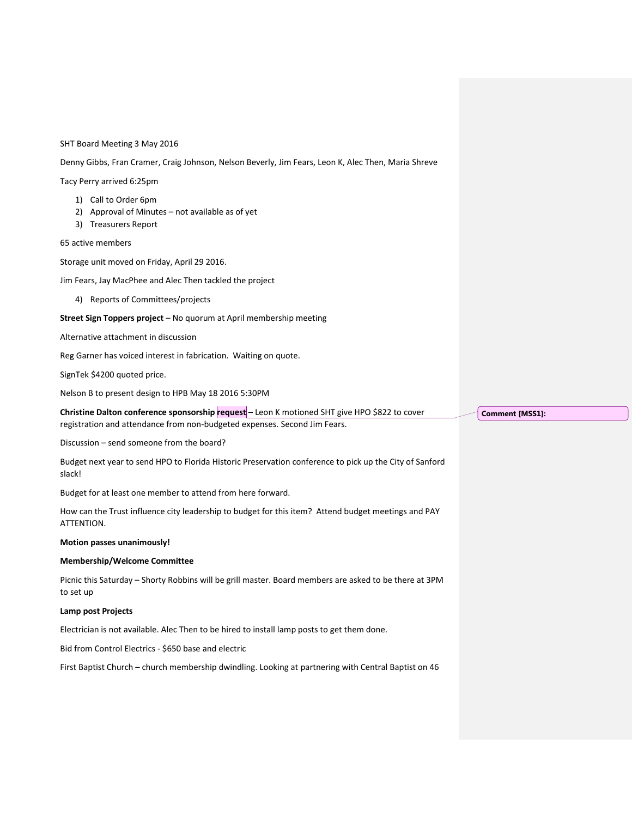#### SHT Board Meeting 3 May 2016

Denny Gibbs, Fran Cramer, Craig Johnson, Nelson Beverly, Jim Fears, Leon K, Alec Then, Maria Shreve

Tacy Perry arrived 6:25pm

- 1) Call to Order 6pm
- 2) Approval of Minutes not available as of yet
- 3) Treasurers Report

65 active members

Storage unit moved on Friday, April 29 2016.

Jim Fears, Jay MacPhee and Alec Then tackled the project

4) Reports of Committees/projects

### **Street Sign Toppers project** – No quorum at April membership meeting

Alternative attachment in discussion

Reg Garner has voiced interest in fabrication. Waiting on quote.

SignTek \$4200 quoted price.

Nelson B to present design to HPB May 18 2016 5:30PM

**Christine Dalton conference sponsorship request –** Leon K motioned SHT give HPO \$822 to cover registration and attendance from non-budgeted expenses. Second Jim Fears.

Discussion – send someone from the board?

Budget next year to send HPO to Florida Historic Preservation conference to pick up the City of Sanford slack!

Budget for at least one member to attend from here forward.

How can the Trust influence city leadership to budget for this item? Attend budget meetings and PAY ATTENTION.

#### **Motion passes unanimously!**

### **Membership/Welcome Committee**

Picnic this Saturday – Shorty Robbins will be grill master. Board members are asked to be there at 3PM to set up

#### **Lamp post Projects**

Electrician is not available. Alec Then to be hired to install lamp posts to get them done.

Bid from Control Electrics - \$650 base and electric

First Baptist Church – church membership dwindling. Looking at partnering with Central Baptist on 46

**Comment [MSS1]:**